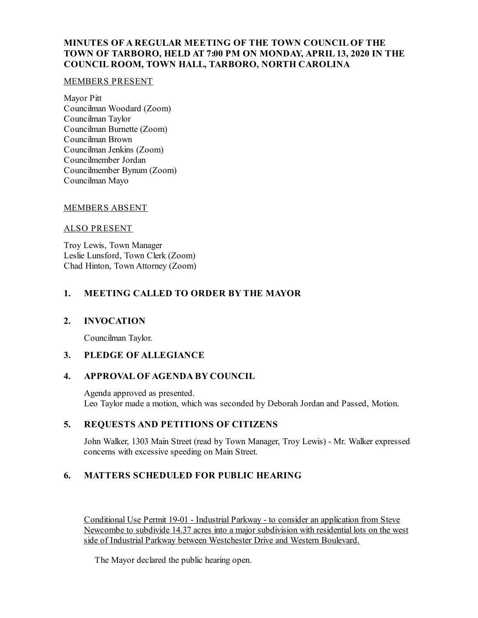# **MINUTES OF A REGULAR MEETING OF THE TOWN COUNCIL OF THE TOWN OF TARBORO, HELD AT 7:00 PM ON MONDAY, APRIL 13, 2020 IN THE COUNCIL ROOM, TOWN HALL, TARBORO, NORTH CAROLINA**

#### MEMBERS PRESENT

Mayor Pitt Councilman Woodard (Zoom) Councilman Taylor Councilman Burnette (Zoom) Councilman Brown Councilman Jenkins (Zoom) Councilmember Jordan Councilmember Bynum (Zoom) Councilman Mayo

### MEMBERS ABSENT

### ALSO PRESENT

Troy Lewis, Town Manager Leslie Lunsford, Town Clerk (Zoom) Chad Hinton, Town Attorney (Zoom)

# **1. MEETING CALLED TO ORDER BY THE MAYOR**

### **2. INVOCATION**

Councilman Taylor.

### **3. PLEDGE OF ALLEGIANCE**

### **4. APPROVAL OF AGENDA BY COUNCIL**

Agenda approved as presented. Leo Taylor made a motion, which was seconded by Deborah Jordan and Passed, Motion.

## **5. REQUESTS AND PETITIONS OF CITIZENS**

John Walker, 1303 Main Street (read by Town Manager, Troy Lewis) - Mr. Walker expressed concerns with excessive speeding on Main Street.

### **6. MATTERS SCHEDULED FOR PUBLIC HEARING**

Conditional Use Permit 19-01 - Industrial Parkway - to consider an application from Steve Newcombe to subdivide 14.37 acres into a major subdivision with residential lots on the west side of Industrial Parkway between Westchester Drive and Western Boulevard.

The Mayor declared the public hearing open.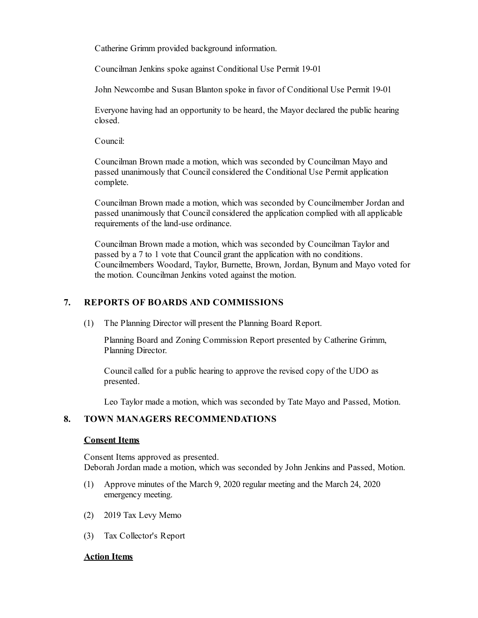Catherine Grimm provided background information.

Councilman Jenkins spoke against Conditional Use Permit 19-01

John Newcombe and Susan Blanton spoke in favor of Conditional Use Permit 19-01

Everyone having had an opportunity to be heard, the Mayor declared the public hearing closed.

Council:

Councilman Brown made a motion, which was seconded by Councilman Mayo and passed unanimously that Council considered the Conditional Use Permit application complete.

Councilman Brown made a motion, which was seconded by Councilmember Jordan and passed unanimously that Council considered the application complied with all applicable requirements of the land-use ordinance.

Councilman Brown made a motion, which was seconded by Councilman Taylor and passed by a 7 to 1 vote that Council grant the application with no conditions. Councilmembers Woodard, Taylor, Burnette, Brown, Jordan, Bynum and Mayo voted for the motion. Councilman Jenkins voted against the motion.

# **7. REPORTS OF BOARDS AND COMMISSIONS**

(1) The Planning Director will present the Planning Board Report.

Planning Board and Zoning Commission Report presented by Catherine Grimm, Planning Director.

Council called for a public hearing to approve the revised copy of the UDO as presented.

Leo Taylor made a motion, which was seconded by Tate Mayo and Passed, Motion.

# **8. TOWN MANAGERS RECOMMENDATIONS**

#### **Consent Items**

Consent Items approved as presented. Deborah Jordan made a motion, which was seconded by John Jenkins and Passed, Motion.

- (1) Approve minutes of the March 9, 2020 regular meeting and the March 24, 2020 emergency meeting.
- (2) 2019 Tax Levy Memo
- (3) Tax Collector's Report

### **Action Items**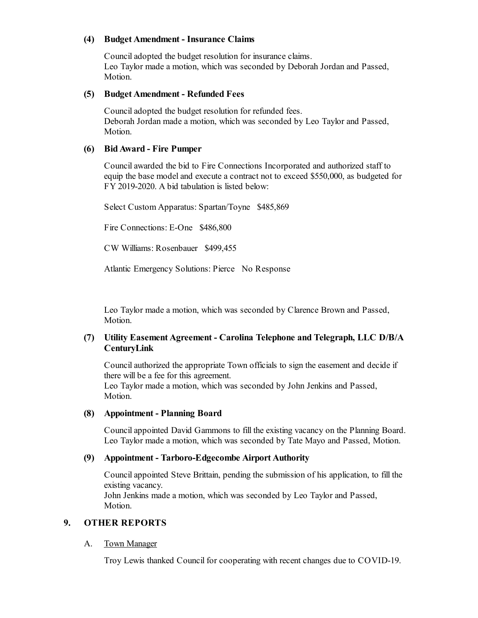### **(4) Budget Amendment - Insurance Claims**

Counciladopted the budget resolution for insurance claims. Leo Taylor made a motion, which was seconded by Deborah Jordan and Passed, Motion.

#### **(5) Budget Amendment - Refunded Fees**

Counciladopted the budget resolution for refunded fees. Deborah Jordan made a motion, which was seconded by Leo Taylor and Passed, Motion.

### **(6) BidAward - Fire Pumper**

Councilawarded the bid to Fire Connections Incorporated and authorized staff to equip the base modeland execute a contract not to exceed \$550,000, as budgeted for FY 2019-2020. A bid tabulation is listed below:

Select Custom Apparatus: Spartan/Toyne \$485,869

Fire Connections: E-One \$486,800

CW Williams: Rosenbauer \$499,455

Atlantic Emergency Solutions: Pierce No Response

Leo Taylor made a motion, which was seconded by Clarence Brown and Passed, Motion.

### **(7) Utility Easement Agreement - Carolina Telephone and Telegraph, LLC D/B/A CenturyLink**

Councilauthorized the appropriate Town officials to sign the easement and decide if there will be a fee for this agreement.

Leo Taylor made a motion, which was seconded by John Jenkins and Passed, Motion.

#### **(8) Appointment - Planning Board**

Councilappointed David Gammons to fill the existing vacancy on the Planning Board. Leo Taylor made a motion, which was seconded by Tate Mayo and Passed, Motion.

#### **(9) Appointment - Tarboro-Edgecombe Airport Authority**

Councilappointed Steve Brittain, pending the submission of his application, to fill the existing vacancy. John Jenkins made a motion, which was seconded by Leo Taylor and Passed, Motion.

#### **9. OTHER REPORTS**

#### A. Town Manager

Troy Lewis thanked Council for cooperating with recent changes due to COVID-19.